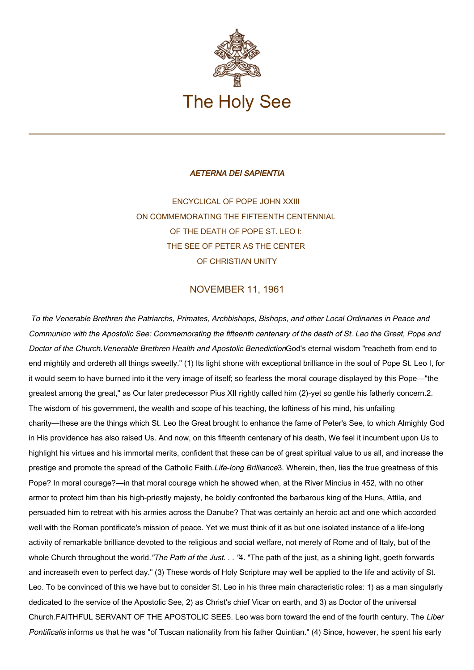

## AETERNA DEI SAPIENTIA

ENCYCLICAL OF POPE JOHN XXIII ON COMMEMORATING THE FIFTEENTH CENTENNIAL OF THE DEATH OF POPE ST. LEO I: THE SEE OF PETER AS THE CENTER OF CHRISTIAN UNITY

## NOVEMBER 11, 1961

To the Venerable Brethren the Patriarchs, Primates, Archbishops, Bishops, and other Local Ordinaries in Peace and Communion with the Apostolic See: Commemorating the fifteenth centenary of the death of St. Leo the Great, Pope and Doctor of the Church.Venerable Brethren Health and Apostolic BenedictionGod's eternal wisdom "reacheth from end to end mightily and ordereth all things sweetly." (1) Its light shone with exceptional brilliance in the soul of Pope St. Leo I, for it would seem to have burned into it the very image of itself; so fearless the moral courage displayed by this Pope—"the greatest among the great," as Our later predecessor Pius XII rightly called him (2)-yet so gentle his fatherly concern.2. The wisdom of his government, the wealth and scope of his teaching, the loftiness of his mind, his unfailing charity—these are the things which St. Leo the Great brought to enhance the fame of Peter's See, to which Almighty God in His providence has also raised Us. And now, on this fifteenth centenary of his death, We feel it incumbent upon Us to highlight his virtues and his immortal merits, confident that these can be of great spiritual value to us all, and increase the prestige and promote the spread of the Catholic Faith. Life-long Brilliance3. Wherein, then, lies the true greatness of this Pope? In moral courage?—in that moral courage which he showed when, at the River Mincius in 452, with no other armor to protect him than his high-priestly majesty, he boldly confronted the barbarous king of the Huns, Attila, and persuaded him to retreat with his armies across the Danube? That was certainly an heroic act and one which accorded well with the Roman pontificate's mission of peace. Yet we must think of it as but one isolated instance of a life-long activity of remarkable brilliance devoted to the religious and social welfare, not merely of Rome and of Italy, but of the whole Church throughout the world."The Path of the Just. . . "4. "The path of the just, as a shining light, goeth forwards and increaseth even to perfect day." (3) These words of Holy Scripture may well be applied to the life and activity of St. Leo. To be convinced of this we have but to consider St. Leo in his three main characteristic roles: 1) as a man singularly dedicated to the service of the Apostolic See, 2) as Christ's chief Vicar on earth, and 3) as Doctor of the universal Church.FAITHFUL SERVANT OF THE APOSTOLIC SEE5. Leo was born toward the end of the fourth century. The Liber Pontificalis informs us that he was "of Tuscan nationality from his father Quintian." (4) Since, however, he spent his early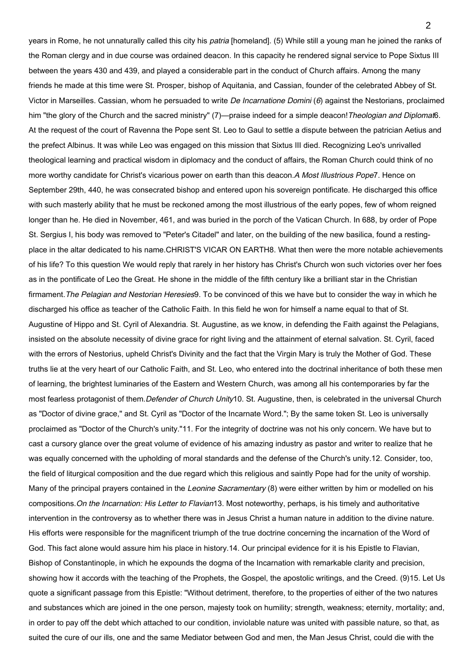years in Rome, he not unnaturally called this city his *patria* [homeland]. (5) While still a young man he joined the ranks of the Roman clergy and in due course was ordained deacon. In this capacity he rendered signal service to Pope Sixtus III between the years 430 and 439, and played a considerable part in the conduct of Church affairs. Among the many friends he made at this time were St. Prosper, bishop of Aquitania, and Cassian, founder of the celebrated Abbey of St. Victor in Marseilles. Cassian, whom he persuaded to write De Incarnatione Domini (6) against the Nestorians, proclaimed him "the glory of the Church and the sacred ministry" (7)—praise indeed for a simple deacon! Theologian and Diplomat6. At the request of the court of Ravenna the Pope sent St. Leo to Gaul to settle a dispute between the patrician Aetius and the prefect Albinus. It was while Leo was engaged on this mission that Sixtus III died. Recognizing Leo's unrivalled theological learning and practical wisdom in diplomacy and the conduct of affairs, the Roman Church could think of no more worthy candidate for Christ's vicarious power on earth than this deacon.A Most Illustrious Pope7. Hence on September 29th, 440, he was consecrated bishop and entered upon his sovereign pontificate. He discharged this office with such masterly ability that he must be reckoned among the most illustrious of the early popes, few of whom reigned longer than he. He died in November, 461, and was buried in the porch of the Vatican Church. In 688, by order of Pope St. Sergius I, his body was removed to "Peter's Citadel" and later, on the building of the new basilica, found a restingplace in the altar dedicated to his name.CHRIST'S VICAR ON EARTH8. What then were the more notable achievements of his life? To this question We would reply that rarely in her history has Christ's Church won such victories over her foes as in the pontificate of Leo the Great. He shone in the middle of the fifth century like a brilliant star in the Christian firmament. The Pelagian and Nestorian Heresies9. To be convinced of this we have but to consider the way in which he discharged his office as teacher of the Catholic Faith. In this field he won for himself a name equal to that of St. Augustine of Hippo and St. Cyril of Alexandria. St. Augustine, as we know, in defending the Faith against the Pelagians, insisted on the absolute necessity of divine grace for right living and the attainment of eternal salvation. St. Cyril, faced with the errors of Nestorius, upheld Christ's Divinity and the fact that the Virgin Mary is truly the Mother of God. These truths lie at the very heart of our Catholic Faith, and St. Leo, who entered into the doctrinal inheritance of both these men of learning, the brightest luminaries of the Eastern and Western Church, was among all his contemporaries by far the most fearless protagonist of them. Defender of Church Unity10. St. Augustine, then, is celebrated in the universal Church as "Doctor of divine grace," and St. Cyril as "Doctor of the Incarnate Word."; By the same token St. Leo is universally proclaimed as "Doctor of the Church's unity."11. For the integrity of doctrine was not his only concern. We have but to cast a cursory glance over the great volume of evidence of his amazing industry as pastor and writer to realize that he was equally concerned with the upholding of moral standards and the defense of the Church's unity.12. Consider, too, the field of liturgical composition and the due regard which this religious and saintly Pope had for the unity of worship. Many of the principal prayers contained in the Leonine Sacramentary (8) were either written by him or modelled on his compositions. On the Incarnation: His Letter to Flavian13. Most noteworthy, perhaps, is his timely and authoritative intervention in the controversy as to whether there was in Jesus Christ a human nature in addition to the divine nature. His efforts were responsible for the magnificent triumph of the true doctrine concerning the incarnation of the Word of God. This fact alone would assure him his place in history.14. Our principal evidence for it is his Epistle to Flavian, Bishop of Constantinople, in which he expounds the dogma of the Incarnation with remarkable clarity and precision, showing how it accords with the teaching of the Prophets, the Gospel, the apostolic writings, and the Creed. (9)15. Let Us quote a significant passage from this Epistle: "Without detriment, therefore, to the properties of either of the two natures and substances which are joined in the one person, majesty took on humility; strength, weakness; eternity, mortality; and, in order to pay off the debt which attached to our condition, inviolable nature was united with passible nature, so that, as suited the cure of our ills, one and the same Mediator between God and men, the Man Jesus Christ, could die with the

 $\mathfrak{D}$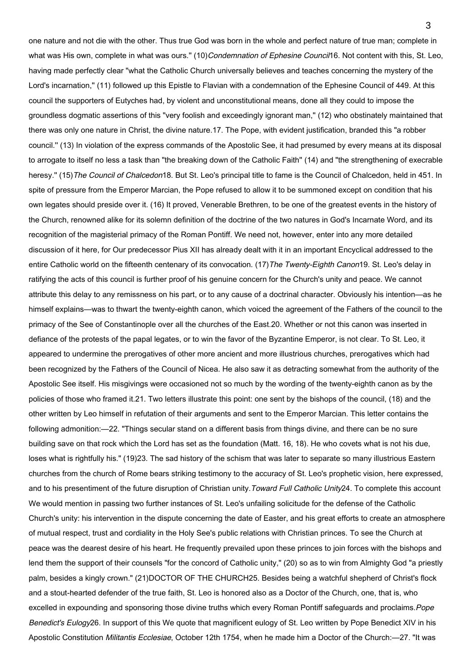one nature and not die with the other. Thus true God was born in the whole and perfect nature of true man; complete in what was His own, complete in what was ours." (10)Condemnation of Ephesine Council16. Not content with this, St. Leo, having made perfectly clear "what the Catholic Church universally believes and teaches concerning the mystery of the Lord's incarnation,'' (11) followed up this Epistle to Flavian with a condemnation of the Ephesine Council of 449. At this council the supporters of Eutyches had, by violent and unconstitutional means, done all they could to impose the groundless dogmatic assertions of this "very foolish and exceedingly ignorant man,'' (12) who obstinately maintained that there was only one nature in Christ, the divine nature.17. The Pope, with evident justification, branded this "a robber council.'' (13) In violation of the express commands of the Apostolic See, it had presumed by every means at its disposal to arrogate to itself no less a task than "the breaking down of the Catholic Faith'' (14) and "the strengthening of execrable heresy." (15) The Council of Chalcedon18. But St. Leo's principal title to fame is the Council of Chalcedon, held in 451. In spite of pressure from the Emperor Marcian, the Pope refused to allow it to be summoned except on condition that his own legates should preside over it. (16) It proved, Venerable Brethren, to be one of the greatest events in the history of the Church, renowned alike for its solemn definition of the doctrine of the two natures in God's Incarnate Word, and its recognition of the magisterial primacy of the Roman Pontiff. We need not, however, enter into any more detailed discussion of it here, for Our predecessor Pius XII has already dealt with it in an important Encyclical addressed to the entire Catholic world on the fifteenth centenary of its convocation. (17) The Twenty-Eighth Canon19. St. Leo's delay in ratifying the acts of this council is further proof of his genuine concern for the Church's unity and peace. We cannot attribute this delay to any remissness on his part, or to any cause of a doctrinal character. Obviously his intention—as he himself explains—was to thwart the twenty-eighth canon, which voiced the agreement of the Fathers of the council to the primacy of the See of Constantinople over all the churches of the East.20. Whether or not this canon was inserted in defiance of the protests of the papal legates, or to win the favor of the Byzantine Emperor, is not clear. To St. Leo, it appeared to undermine the prerogatives of other more ancient and more illustrious churches, prerogatives which had been recognized by the Fathers of the Council of Nicea. He also saw it as detracting somewhat from the authority of the Apostolic See itself. His misgivings were occasioned not so much by the wording of the twenty-eighth canon as by the policies of those who framed it.21. Two letters illustrate this point: one sent by the bishops of the council, (18) and the other written by Leo himself in refutation of their arguments and sent to the Emperor Marcian. This letter contains the following admonition:—22. "Things secular stand on a different basis from things divine, and there can be no sure building save on that rock which the Lord has set as the foundation (Matt. 16, 18). He who covets what is not his due, loses what is rightfully his." (19)23. The sad history of the schism that was later to separate so many illustrious Eastern churches from the church of Rome bears striking testimony to the accuracy of St. Leo's prophetic vision, here expressed, and to his presentiment of the future disruption of Christian unity. Toward Full Catholic Unity24. To complete this account We would mention in passing two further instances of St. Leo's unfailing solicitude for the defense of the Catholic Church's unity: his intervention in the dispute concerning the date of Easter, and his great efforts to create an atmosphere of mutual respect, trust and cordiality in the Holy See's public relations with Christian princes. To see the Church at peace was the dearest desire of his heart. He frequently prevailed upon these princes to join forces with the bishops and lend them the support of their counsels "for the concord of Catholic unity," (20) so as to win from Almighty God "a priestly palm, besides a kingly crown." (21)DOCTOR OF THE CHURCH25. Besides being a watchful shepherd of Christ's flock and a stout-hearted defender of the true faith, St. Leo is honored also as a Doctor of the Church, one, that is, who excelled in expounding and sponsoring those divine truths which every Roman Pontiff safeguards and proclaims. Pope Benedict's Eulogy26. In support of this We quote that magnificent eulogy of St. Leo written by Pope Benedict XIV in his Apostolic Constitution Militantis Ecclesiae, October 12th 1754, when he made him a Doctor of the Church:--27. "It was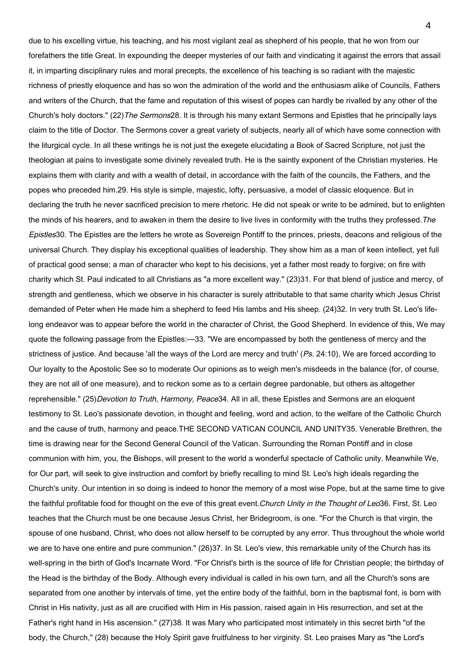due to his excelling virtue, his teaching, and his most vigilant zeal as shepherd of his people, that he won from our forefathers the title Great. In expounding the deeper mysteries of our faith and vindicating it against the errors that assail it, in imparting disciplinary rules and moral precepts, the excellence of his teaching is so radiant with the majestic richness of priestly eloquence and has so won the admiration of the world and the enthusiasm alike of Councils, Fathers and writers of the Church, that the fame and reputation of this wisest of popes can hardly be rivalled by any other of the Church's holy doctors." (22) The Sermons28. It is through his many extant Sermons and Epistles that he principally lays claim to the title of Doctor. The Sermons cover a great variety of subjects, nearly all of which have some connection with the liturgical cycle. In all these writings he is not just the exegete elucidating a Book of Sacred Scripture, not just the theologian at pains to investigate some divinely revealed truth. He is the saintly exponent of the Christian mysteries. He explains them with clarity and with a wealth of detail, in accordance with the faith of the councils, the Fathers, and the popes who preceded him.29. His style is simple, majestic, lofty, persuasive, a model of classic eloquence. But in declaring the truth he never sacrificed precision to mere rhetoric. He did not speak or write to be admired, but to enlighten the minds of his hearers, and to awaken in them the desire to live lives in conformity with the truths they professed.The Epistles30. The Epistles are the letters he wrote as Sovereign Pontiff to the princes, priests, deacons and religious of the universal Church. They display his exceptional qualities of leadership. They show him as a man of keen intellect, yet full of practical good sense; a man of character who kept to his decisions, yet a father most ready to forgive; on fire with charity which St. Paul indicated to all Christians as "a more excellent way." (23)31. For that blend of justice and mercy, of strength and gentleness, which we observe in his character is surely attributable to that same charity which Jesus Christ demanded of Peter when He made him a shepherd to feed His lambs and His sheep. (24)32. In very truth St. Leo's lifelong endeavor was to appear before the world in the character of Christ, the Good Shepherd. In evidence of this, We may quote the following passage from the Epistles:—33. "We are encompassed by both the gentleness of mercy and the strictness of justice. And because 'all the ways of the Lord are mercy and truth' (Ps. 24:10), We are forced according to Our loyalty to the Apostolic See so to moderate Our opinions as to weigh men's misdeeds in the balance (for, of course, they are not all of one measure), and to reckon some as to a certain degree pardonable, but others as altogether reprehensible." (25) Devotion to Truth, Harmony, Peace 34. All in all, these Epistles and Sermons are an eloquent testimony to St. Leo's passionate devotion, in thought and feeling, word and action, to the welfare of the Catholic Church and the cause of truth, harmony and peace.THE SECOND VATICAN COUNCIL AND UNITY35. Venerable Brethren, the time is drawing near for the Second General Council of the Vatican. Surrounding the Roman Pontiff and in close communion with him, you, the Bishops, will present to the world a wonderful spectacle of Catholic unity. Meanwhile We, for Our part, will seek to give instruction and comfort by briefly recalling to mind St. Leo's high ideals regarding the Church's unity. Our intention in so doing is indeed to honor the memory of a most wise Pope, but at the same time to give the faithful profitable food for thought on the eve of this great event. Church Unity in the Thought of Leo36. First, St. Leo teaches that the Church must be one because Jesus Christ, her Bridegroom, is one. "For the Church is that virgin, the spouse of one husband, Christ, who does not allow herself to be corrupted by any error. Thus throughout the whole world we are to have one entire and pure communion." (26)37. In St. Leo's view, this remarkable unity of the Church has its well-spring in the birth of God's Incarnate Word. "For Christ's birth is the source of life for Christian people; the birthday of the Head is the birthday of the Body. Although every individual is called in his own turn, and all the Church's sons are separated from one another by intervals of time, yet the entire body of the faithful, born in the baptismal font, is born with Christ in His nativity, just as all are crucified with Him in His passion, raised again in His resurrection, and set at the Father's right hand in His ascension." (27)38. It was Mary who participated most intimately in this secret birth "of the body, the Church," (28) because the Holy Spirit gave fruitfulness to her virginity. St. Leo praises Mary as "the Lord's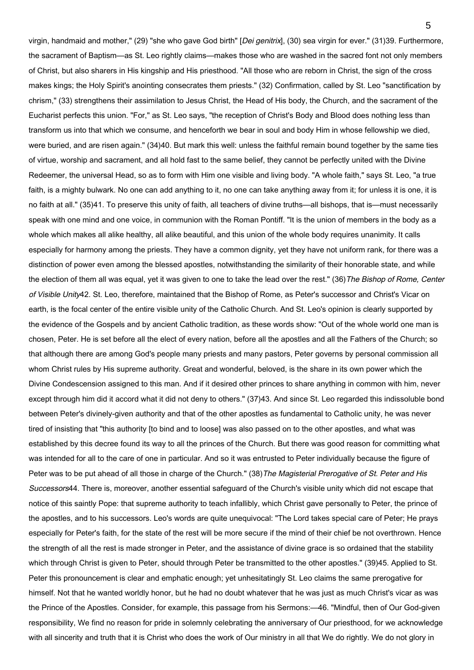virgin, handmaid and mother," (29) "she who gave God birth" [Dei genitrix], (30) sea virgin for ever." (31)39. Furthermore, the sacrament of Baptism—as St. Leo rightly claims—makes those who are washed in the sacred font not only members of Christ, but also sharers in His kingship and His priesthood. "All those who are reborn in Christ, the sign of the cross makes kings; the Holy Spirit's anointing consecrates them priests." (32) Confirmation, called by St. Leo "sanctification by chrism," (33) strengthens their assimilation to Jesus Christ, the Head of His body, the Church, and the sacrament of the Eucharist perfects this union. "For," as St. Leo says, "the reception of Christ's Body and Blood does nothing less than transform us into that which we consume, and henceforth we bear in soul and body Him in whose fellowship we died, were buried, and are risen again." (34)40. But mark this well: unless the faithful remain bound together by the same ties of virtue, worship and sacrament, and all hold fast to the same belief, they cannot be perfectly united with the Divine Redeemer, the universal Head, so as to form with Him one visible and living body. "A whole faith," says St. Leo, "a true faith, is a mighty bulwark. No one can add anything to it, no one can take anything away from it; for unless it is one, it is no faith at all." (35)41. To preserve this unity of faith, all teachers of divine truths—all bishops, that is—must necessarily speak with one mind and one voice, in communion with the Roman Pontiff. "It is the union of members in the body as a whole which makes all alike healthy, all alike beautiful, and this union of the whole body requires unanimity. It calls especially for harmony among the priests. They have a common dignity, yet they have not uniform rank, for there was a distinction of power even among the blessed apostles, notwithstanding the similarity of their honorable state, and while the election of them all was equal, yet it was given to one to take the lead over the rest." (36) The Bishop of Rome, Center of Visible Unity42. St. Leo, therefore, maintained that the Bishop of Rome, as Peter's successor and Christ's Vicar on earth, is the focal center of the entire visible unity of the Catholic Church. And St. Leo's opinion is clearly supported by the evidence of the Gospels and by ancient Catholic tradition, as these words show: "Out of the whole world one man is chosen, Peter. He is set before all the elect of every nation, before all the apostles and all the Fathers of the Church; so that although there are among God's people many priests and many pastors, Peter governs by personal commission all whom Christ rules by His supreme authority. Great and wonderful, beloved, is the share in its own power which the Divine Condescension assigned to this man. And if it desired other princes to share anything in common with him, never except through him did it accord what it did not deny to others." (37)43. And since St. Leo regarded this indissoluble bond between Peter's divinely-given authority and that of the other apostles as fundamental to Catholic unity, he was never tired of insisting that "this authority [to bind and to loose] was also passed on to the other apostles, and what was established by this decree found its way to all the princes of the Church. But there was good reason for committing what was intended for all to the care of one in particular. And so it was entrusted to Peter individually because the figure of Peter was to be put ahead of all those in charge of the Church." (38) The Magisterial Prerogative of St. Peter and His Successors44. There is, moreover, another essential safeguard of the Church's visible unity which did not escape that notice of this saintly Pope: that supreme authority to teach infallibly, which Christ gave personally to Peter, the prince of the apostles, and to his successors. Leo's words are quite unequivocal: "The Lord takes special care of Peter; He prays especially for Peter's faith, for the state of the rest will be more secure if the mind of their chief be not overthrown. Hence the strength of all the rest is made stronger in Peter, and the assistance of divine grace is so ordained that the stability which through Christ is given to Peter, should through Peter be transmitted to the other apostles." (39)45. Applied to St. Peter this pronouncement is clear and emphatic enough; yet unhesitatingly St. Leo claims the same prerogative for himself. Not that he wanted worldly honor, but he had no doubt whatever that he was just as much Christ's vicar as was the Prince of the Apostles. Consider, for example, this passage from his Sermons:—46. "Mindful, then of Our God-given responsibility, We find no reason for pride in solemnly celebrating the anniversary of Our priesthood, for we acknowledge with all sincerity and truth that it is Christ who does the work of Our ministry in all that We do rightly. We do not glory in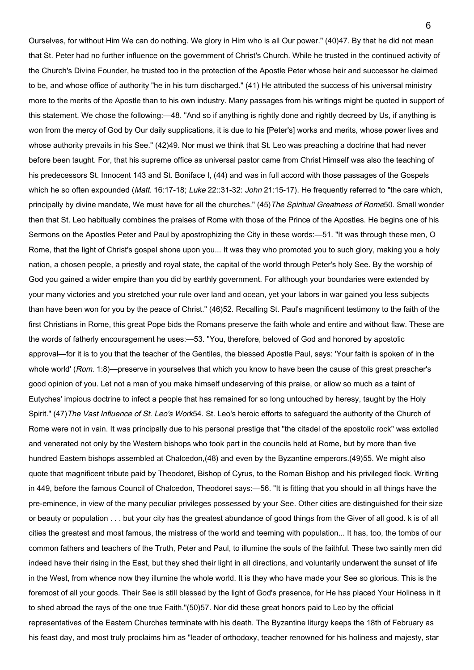Ourselves, for without Him We can do nothing. We glory in Him who is all Our power." (40)47. By that he did not mean that St. Peter had no further influence on the government of Christ's Church. While he trusted in the continued activity of the Church's Divine Founder, he trusted too in the protection of the Apostle Peter whose heir and successor he claimed to be, and whose office of authority "he in his turn discharged." (41) He attributed the success of his universal ministry more to the merits of the Apostle than to his own industry. Many passages from his writings might be quoted in support of this statement. We chose the following:—48. "And so if anything is rightly done and rightly decreed by Us, if anything is won from the mercy of God by Our daily supplications, it is due to his [Peter's] works and merits, whose power lives and whose authority prevails in his See." (42)49. Nor must we think that St. Leo was preaching a doctrine that had never before been taught. For, that his supreme office as universal pastor came from Christ Himself was also the teaching of his predecessors St. Innocent 143 and St. Boniface I, (44) and was in full accord with those passages of the Gospels which he so often expounded (Matt. 16:17-18; Luke 22::31-32: John 21:15-17). He frequently referred to "the care which, principally by divine mandate, We must have for all the churches." (45) The Spiritual Greatness of Rome50. Small wonder then that St. Leo habitually combines the praises of Rome with those of the Prince of the Apostles. He begins one of his Sermons on the Apostles Peter and Paul by apostrophizing the City in these words:—51. "It was through these men, O Rome, that the light of Christ's gospel shone upon you... It was they who promoted you to such glory, making you a holy nation, a chosen people, a priestly and royal state, the capital of the world through Peter's holy See. By the worship of God you gained a wider empire than you did by earthly government. For although your boundaries were extended by your many victories and you stretched your rule over land and ocean, yet your labors in war gained you less subjects than have been won for you by the peace of Christ." (46)52. Recalling St. Paul's magnificent testimony to the faith of the first Christians in Rome, this great Pope bids the Romans preserve the faith whole and entire and without flaw. These are the words of fatherly encouragement he uses:—53. "You, therefore, beloved of God and honored by apostolic approval—for it is to you that the teacher of the Gentiles, the blessed Apostle Paul, says: 'Your faith is spoken of in the whole world' (Rom. 1:8)—preserve in yourselves that which you know to have been the cause of this great preacher's good opinion of you. Let not a man of you make himself undeserving of this praise, or allow so much as a taint of Eutyches' impious doctrine to infect a people that has remained for so long untouched by heresy, taught by the Holy Spirit." (47) The Vast Influence of St. Leo's Work54. St. Leo's heroic efforts to safeguard the authority of the Church of Rome were not in vain. It was principally due to his personal prestige that "the citadel of the apostolic rock" was extolled and venerated not only by the Western bishops who took part in the councils held at Rome, but by more than five hundred Eastern bishops assembled at Chalcedon,(48) and even by the Byzantine emperors.(49)55. We might also quote that magnificent tribute paid by Theodoret, Bishop of Cyrus, to the Roman Bishop and his privileged flock. Writing in 449, before the famous Council of Chalcedon, Theodoret says:—56. "It is fitting that you should in all things have the pre-eminence, in view of the many peculiar privileges possessed by your See. Other cities are distinguished for their size or beauty or population . . . but your city has the greatest abundance of good things from the Giver of all good. k is of all cities the greatest and most famous, the mistress of the world and teeming with population... It has, too, the tombs of our common fathers and teachers of the Truth, Peter and Paul, to illumine the souls of the faithful. These two saintly men did indeed have their rising in the East, but they shed their light in all directions, and voluntarily underwent the sunset of life in the West, from whence now they illumine the whole world. It is they who have made your See so glorious. This is the foremost of all your goods. Their See is still blessed by the light of God's presence, for He has placed Your Holiness in it to shed abroad the rays of the one true Faith."(50)57. Nor did these great honors paid to Leo by the official representatives of the Eastern Churches terminate with his death. The Byzantine liturgy keeps the 18th of February as his feast day, and most truly proclaims him as "leader of orthodoxy, teacher renowned for his holiness and majesty, star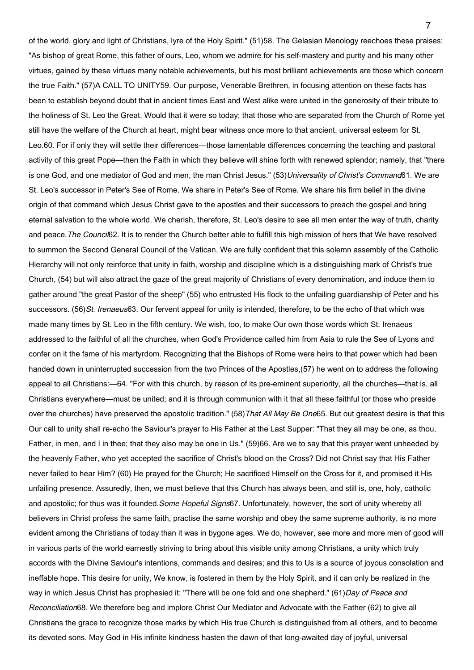of the world, glory and light of Christians, lyre of the Holy Spirit." (51)58. The Gelasian Menology reechoes these praises: "As bishop of great Rome, this father of ours, Leo, whom we admire for his self-mastery and purity and his many other virtues, gained by these virtues many notable achievements, but his most brilliant achievements are those which concern the true Faith." (57)A CALL TO UNITY59. Our purpose, Venerable Brethren, in focusing attention on these facts has been to establish beyond doubt that in ancient times East and West alike were united in the generosity of their tribute to the holiness of St. Leo the Great. Would that it were so today; that those who are separated from the Church of Rome yet still have the welfare of the Church at heart, might bear witness once more to that ancient, universal esteem for St. Leo.60. For if only they will settle their differences—those lamentable differences concerning the teaching and pastoral activity of this great Pope—then the Faith in which they believe will shine forth with renewed splendor; namely, that "there is one God, and one mediator of God and men, the man Christ Jesus." (53) Universality of Christ's Command61. We are St. Leo's successor in Peter's See of Rome. We share in Peter's See of Rome. We share his firm belief in the divine origin of that command which Jesus Christ gave to the apostles and their successors to preach the gospel and bring eternal salvation to the whole world. We cherish, therefore, St. Leo's desire to see all men enter the way of truth, charity and peace. The Council62. It is to render the Church better able to fulfill this high mission of hers that We have resolved to summon the Second General Council of the Vatican. We are fully confident that this solemn assembly of the Catholic Hierarchy will not only reinforce that unity in faith, worship and discipline which is a distinguishing mark of Christ's true Church, (54) but will also attract the gaze of the great majority of Christians of every denomination, and induce them to gather around "the great Pastor of the sheep" (55) who entrusted His flock to the unfailing guardianship of Peter and his successors. (56)St. Irenaeus63. Our fervent appeal for unity is intended, therefore, to be the echo of that which was made many times by St. Leo in the fifth century. We wish, too, to make Our own those words which St. Irenaeus addressed to the faithful of all the churches, when God's Providence called him from Asia to rule the See of Lyons and confer on it the fame of his martyrdom. Recognizing that the Bishops of Rome were heirs to that power which had been handed down in uninterrupted succession from the two Princes of the Apostles,(57) he went on to address the following appeal to all Christians:—64. "For with this church, by reason of its pre-eminent superiority, all the churches—that is, all Christians everywhere—must be united; and it is through communion with it that all these faithful (or those who preside over the churches) have preserved the apostolic tradition." (58) That All May Be One65. But out greatest desire is that this Our call to unity shall re-echo the Saviour's prayer to His Father at the Last Supper: "That they all may be one, as thou, Father, in men, and I in thee; that they also may be one in Us." (59)66. Are we to say that this prayer went unheeded by the heavenly Father, who yet accepted the sacrifice of Christ's blood on the Cross? Did not Christ say that His Father never failed to hear Him? (60) He prayed for the Church; He sacrificed Himself on the Cross for it, and promised it His unfailing presence. Assuredly, then, we must believe that this Church has always been, and still is, one, holy, catholic and apostolic; for thus was it founded. Some Hopeful Signs67. Unfortunately, however, the sort of unity whereby all believers in Christ profess the same faith, practise the same worship and obey the same supreme authority, is no more evident among the Christians of today than it was in bygone ages. We do, however, see more and more men of good will in various parts of the world earnestly striving to bring about this visible unity among Christians, a unity which truly accords with the Divine Saviour's intentions, commands and desires; and this to Us is a source of joyous consolation and ineffable hope. This desire for unity, We know, is fostered in them by the Holy Spirit, and it can only be realized in the way in which Jesus Christ has prophesied it: "There will be one fold and one shepherd." (61)Day of Peace and Reconciliation68. We therefore beg and implore Christ Our Mediator and Advocate with the Father (62) to give all Christians the grace to recognize those marks by which His true Church is distinguished from all others, and to become its devoted sons. May God in His infinite kindness hasten the dawn of that long-awaited day of joyful, universal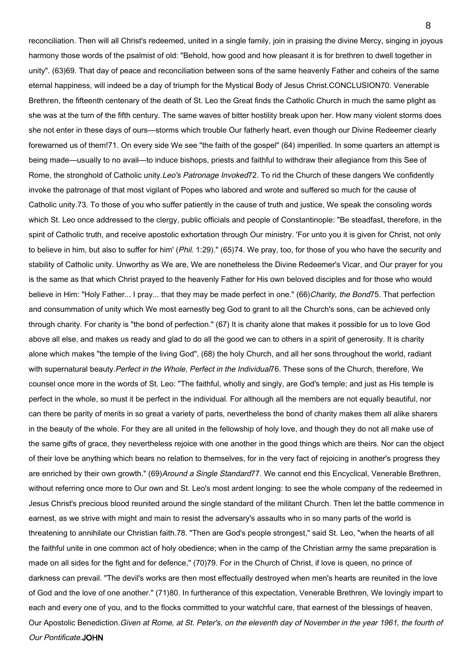reconciliation. Then will all Christ's redeemed, united in a single family, join in praising the divine Mercy, singing in joyous harmony those words of the psalmist of old: "Behold, how good and how pleasant it is for brethren to dwell together in unity". (63)69. That day of peace and reconciliation between sons of the same heavenly Father and coheirs of the same eternal happiness, will indeed be a day of triumph for the Mystical Body of Jesus Christ.CONCLUSION70. Venerable Brethren, the fifteenth centenary of the death of St. Leo the Great finds the Catholic Church in much the same plight as she was at the turn of the fifth century. The same waves of bitter hostility break upon her. How many violent storms does she not enter in these days of ours—storms which trouble Our fatherly heart, even though our Divine Redeemer clearly forewarned us of them!71. On every side We see "the faith of the gospel" (64) imperilled. In some quarters an attempt is being made—usually to no avail—to induce bishops, priests and faithful to withdraw their allegiance from this See of Rome, the stronghold of Catholic unity.Leo's Patronage Invoked72. To rid the Church of these dangers We confidently invoke the patronage of that most vigilant of Popes who labored and wrote and suffered so much for the cause of Catholic unity.73. To those of you who suffer patiently in the cause of truth and justice, We speak the consoling words which St. Leo once addressed to the clergy, public officials and people of Constantinople: "Be steadfast, therefore, in the spirit of Catholic truth, and receive apostolic exhortation through Our ministry. 'For unto you it is given for Christ, not only to believe in him, but also to suffer for him' (Phil. 1:29)." (65)74. We pray, too, for those of you who have the security and stability of Catholic unity. Unworthy as We are, We are nonetheless the Divine Redeemer's Vicar, and Our prayer for you is the same as that which Christ prayed to the heavenly Father for His own beloved disciples and for those who would believe in Him: "Holy Father... I pray... that they may be made perfect in one." (66) Charity, the Bond75. That perfection and consummation of unity which We most earnestly beg God to grant to all the Church's sons, can be achieved only through charity. For charity is "the bond of perfection." (67) It is charity alone that makes it possible for us to love God above all else, and makes us ready and glad to do all the good we can to others in a spirit of generosity. It is charity alone which makes "the temple of the living God", (68) the holy Church, and all her sons throughout the world, radiant with supernatural beauty. Perfect in the Whole, Perfect in the Individual76. These sons of the Church, therefore, We counsel once more in the words of St. Leo: "The faithful, wholly and singly, are God's temple; and just as His temple is perfect in the whole, so must it be perfect in the individual. For although all the members are not equally beautiful, nor can there be parity of merits in so great a variety of parts, nevertheless the bond of charity makes them all alike sharers in the beauty of the whole. For they are all united in the fellowship of holy love, and though they do not all make use of the same gifts of grace, they nevertheless rejoice with one another in the good things which are theirs. Nor can the object of their love be anything which bears no relation to themselves, for in the very fact of rejoicing in another's progress they are enriched by their own growth." (69)Around a Single Standard77. We cannot end this Encyclical, Venerable Brethren, without referring once more to Our own and St. Leo's most ardent longing: to see the whole company of the redeemed in Jesus Christ's precious blood reunited around the single standard of the militant Church. Then let the battle commence in earnest, as we strive with might and main to resist the adversary's assaults who in so many parts of the world is threatening to annihilate our Christian faith.78. "Then are God's people strongest," said St. Leo, "when the hearts of all the faithful unite in one common act of holy obedience; when in the camp of the Christian army the same preparation is made on all sides for the fight and for defence," (70)79. For in the Church of Christ, if love is queen, no prince of darkness can prevail. "The devil's works are then most effectually destroyed when men's hearts are reunited in the love of God and the love of one another." (71)80. In furtherance of this expectation, Venerable Brethren, We lovingly impart to each and every one of you, and to the flocks committed to your watchful care, that earnest of the blessings of heaven, Our Apostolic Benediction.Given at Rome, at St. Peter's, on the eleventh day of November in the year 1961, the fourth of Our Pontificate.JOHN